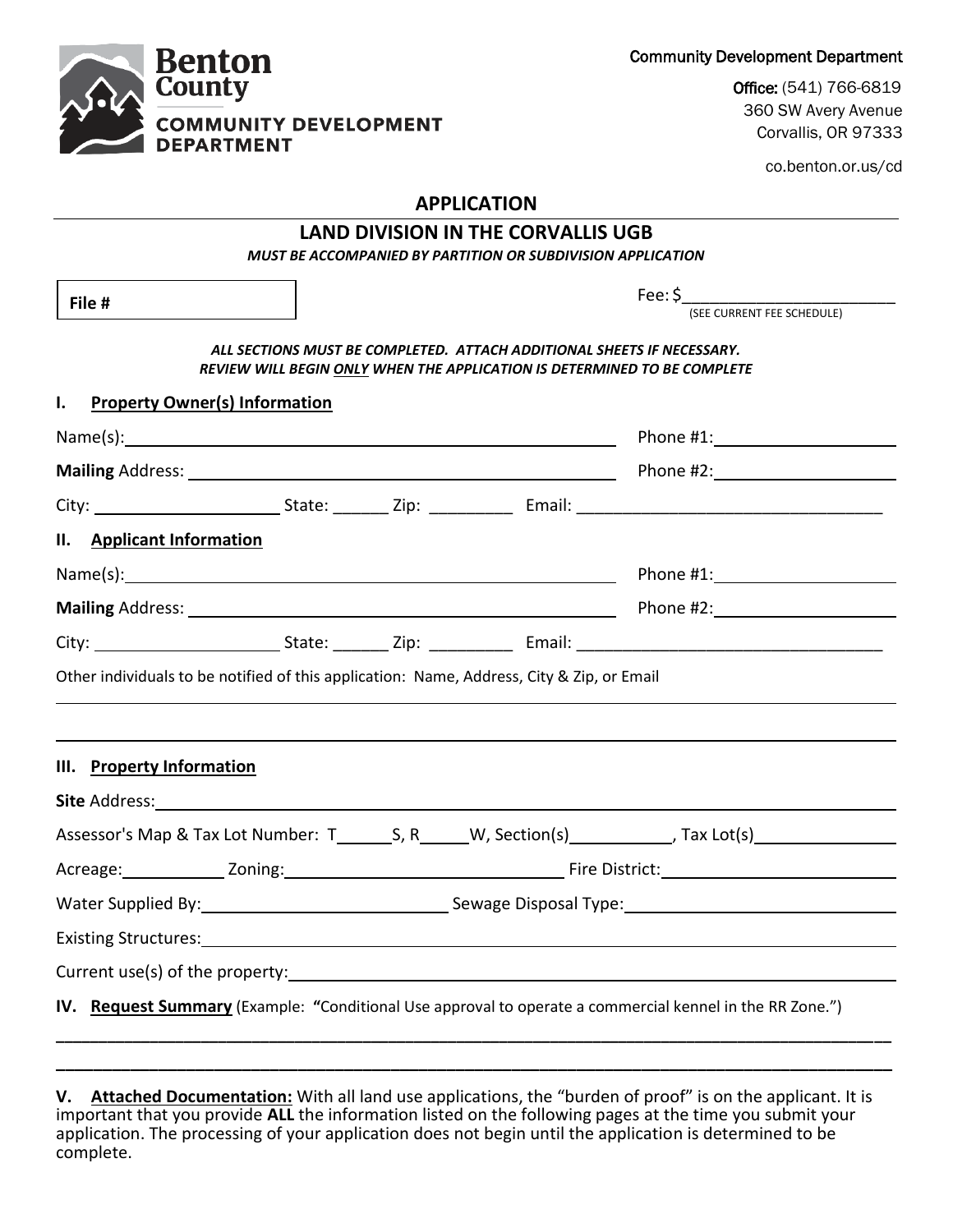Community Development Department



Office: (541) 766-6819 360 SW Avery Avenue Corvallis, OR 97333

co.benton.or.us/cd

## **APPLICATION**

## **LAND DIVISION IN THE CORVALLIS UGB**

*MUST BE ACCOMPANIED BY PARTITION OR SUBDIVISION APPLICATION*

| File #                                                                                    |  |  | Fee: \$<br>(SEE CURRENT FEE SCHEDULE)                                                                                                              |
|-------------------------------------------------------------------------------------------|--|--|----------------------------------------------------------------------------------------------------------------------------------------------------|
|                                                                                           |  |  |                                                                                                                                                    |
|                                                                                           |  |  | ALL SECTIONS MUST BE COMPLETED. ATTACH ADDITIONAL SHEETS IF NECESSARY.<br>REVIEW WILL BEGIN ONLY WHEN THE APPLICATION IS DETERMINED TO BE COMPLETE |
| ı.<br><b>Property Owner(s) Information</b>                                                |  |  |                                                                                                                                                    |
|                                                                                           |  |  | Phone #1: New York Phone #1:                                                                                                                       |
|                                                                                           |  |  |                                                                                                                                                    |
|                                                                                           |  |  |                                                                                                                                                    |
| II. Applicant Information                                                                 |  |  |                                                                                                                                                    |
|                                                                                           |  |  |                                                                                                                                                    |
|                                                                                           |  |  |                                                                                                                                                    |
|                                                                                           |  |  |                                                                                                                                                    |
| Other individuals to be notified of this application: Name, Address, City & Zip, or Email |  |  |                                                                                                                                                    |
|                                                                                           |  |  |                                                                                                                                                    |
|                                                                                           |  |  |                                                                                                                                                    |
|                                                                                           |  |  |                                                                                                                                                    |
|                                                                                           |  |  |                                                                                                                                                    |
|                                                                                           |  |  |                                                                                                                                                    |
|                                                                                           |  |  |                                                                                                                                                    |
|                                                                                           |  |  | Water Supplied By: 1992 Contract Communication Communication Communication Communication Communication Communication                               |
|                                                                                           |  |  |                                                                                                                                                    |
| III. Property Information<br>Site Address: National Address: National Address:            |  |  |                                                                                                                                                    |

**V. Attached Documentation:** With all land use applications, the "burden of proof" is on the applicant. It is important that you provide **ALL** the information listed on the following pages at the time you submit your application. The processing of your application does not begin until the application is determined to be complete.

**\_\_\_\_\_\_\_\_\_\_\_\_\_\_\_\_\_\_\_\_\_\_\_\_\_\_\_\_\_\_\_\_\_\_\_\_\_\_\_\_\_\_\_\_\_\_\_\_\_\_\_\_\_\_\_\_\_\_\_\_\_\_\_\_\_\_\_\_\_\_\_\_\_\_\_\_\_\_\_\_\_\_\_\_\_\_\_\_\_\_**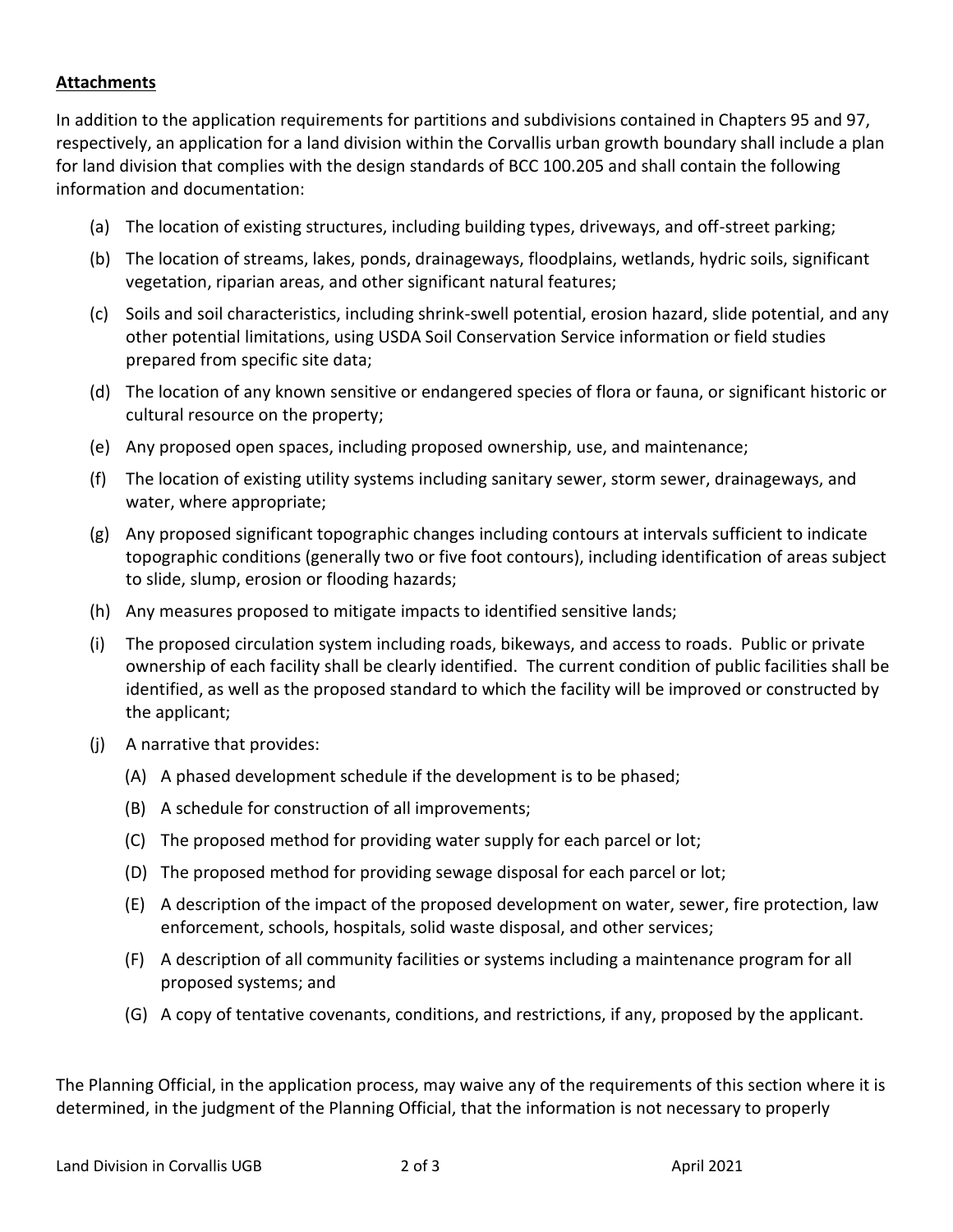## **Attachments**

In addition to the application requirements for partitions and subdivisions contained in Chapters 95 and 97, respectively, an application for a land division within the Corvallis urban growth boundary shall include a plan for land division that complies with the design standards of BCC 100.205 and shall contain the following information and documentation:

- (a) The location of existing structures, including building types, driveways, and off-street parking;
- (b) The location of streams, lakes, ponds, drainageways, floodplains, wetlands, hydric soils, significant vegetation, riparian areas, and other significant natural features;
- (c) Soils and soil characteristics, including shrink-swell potential, erosion hazard, slide potential, and any other potential limitations, using USDA Soil Conservation Service information or field studies prepared from specific site data;
- (d) The location of any known sensitive or endangered species of flora or fauna, or significant historic or cultural resource on the property;
- (e) Any proposed open spaces, including proposed ownership, use, and maintenance;
- (f) The location of existing utility systems including sanitary sewer, storm sewer, drainageways, and water, where appropriate;
- (g) Any proposed significant topographic changes including contours at intervals sufficient to indicate topographic conditions (generally two or five foot contours), including identification of areas subject to slide, slump, erosion or flooding hazards;
- (h) Any measures proposed to mitigate impacts to identified sensitive lands;
- (i) The proposed circulation system including roads, bikeways, and access to roads. Public or private ownership of each facility shall be clearly identified. The current condition of public facilities shall be identified, as well as the proposed standard to which the facility will be improved or constructed by the applicant;
- (j) A narrative that provides:
	- (A) A phased development schedule if the development is to be phased;
	- (B) A schedule for construction of all improvements;
	- (C) The proposed method for providing water supply for each parcel or lot;
	- (D) The proposed method for providing sewage disposal for each parcel or lot;
	- (E) A description of the impact of the proposed development on water, sewer, fire protection, law enforcement, schools, hospitals, solid waste disposal, and other services;
	- (F) A description of all community facilities or systems including a maintenance program for all proposed systems; and
	- (G) A copy of tentative covenants, conditions, and restrictions, if any, proposed by the applicant.

The Planning Official, in the application process, may waive any of the requirements of this section where it is determined, in the judgment of the Planning Official, that the information is not necessary to properly